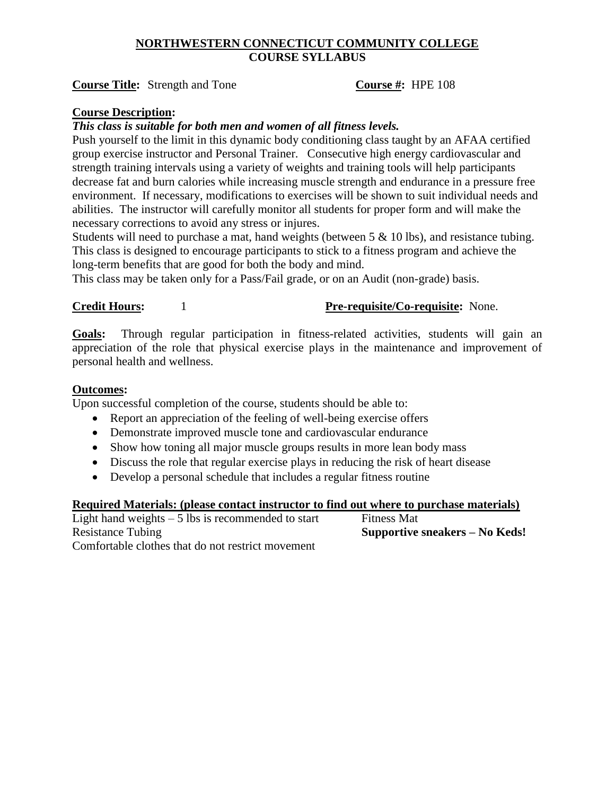# **NORTHWESTERN CONNECTICUT COMMUNITY COLLEGE COURSE SYLLABUS**

**Course Title:** Strength and Tone **Course #:** HPE 108

# **Course Description:**

*This class is suitable for both men and women of all fitness levels.* 

Push yourself to the limit in this dynamic body conditioning class taught by an AFAA certified group exercise instructor and Personal Trainer. Consecutive high energy cardiovascular and strength training intervals using a variety of weights and training tools will help participants decrease fat and burn calories while increasing muscle strength and endurance in a pressure free environment. If necessary, modifications to exercises will be shown to suit individual needs and abilities. The instructor will carefully monitor all students for proper form and will make the necessary corrections to avoid any stress or injures.

Students will need to purchase a mat, hand weights (between 5 & 10 lbs), and resistance tubing. This class is designed to encourage participants to stick to a fitness program and achieve the long-term benefits that are good for both the body and mind.

This class may be taken only for a Pass/Fail grade, or on an Audit (non-grade) basis.

# **Credit Hours:** 1 **Pre-requisite/Co-requisite:** None.

**Goals:** Through regular participation in fitness-related activities, students will gain an appreciation of the role that physical exercise plays in the maintenance and improvement of personal health and wellness.

### **Outcomes:**

Upon successful completion of the course, students should be able to:

- Report an appreciation of the feeling of well-being exercise offers
- Demonstrate improved muscle tone and cardiovascular endurance
- Show how toning all major muscle groups results in more lean body mass
- Discuss the role that regular exercise plays in reducing the risk of heart disease
- Develop a personal schedule that includes a regular fitness routine

#### **Required Materials: (please contact instructor to find out where to purchase materials)**

Light hand weights  $-5$  lbs is recommended to start Fitness Mat Resistance Tubing **Supportive sneakers – No Keds!** Comfortable clothes that do not restrict movement